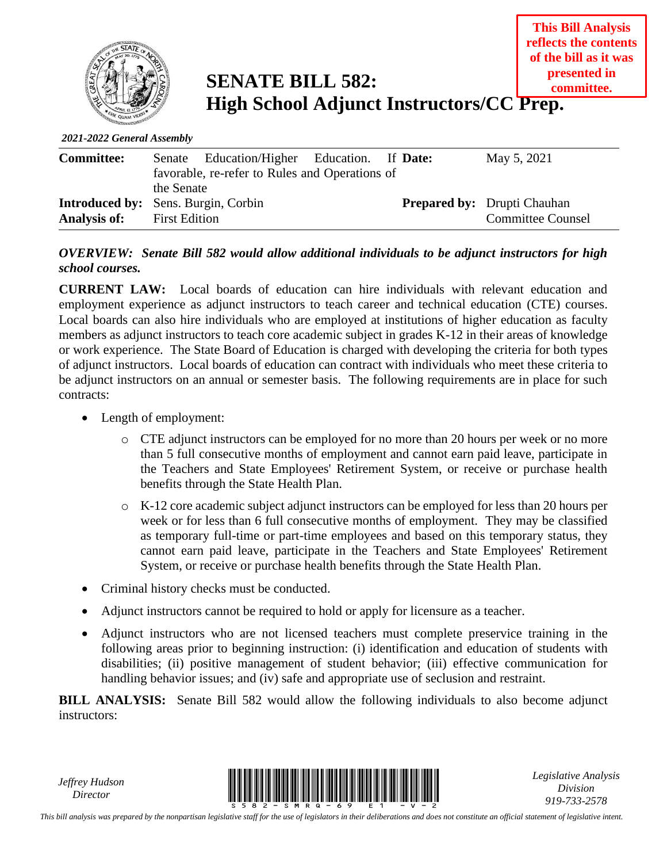

**SENATE BILL 582: High School Adjunct Instructors/CC Prep.**

*2021-2022 General Assembly*

| <b>Committee:</b> | the Senate                                                         | Senate Education/Higher Education. If Date:<br>favorable, re-refer to Rules and Operations of |  |  | May 5, 2021                                                    |  |
|-------------------|--------------------------------------------------------------------|-----------------------------------------------------------------------------------------------|--|--|----------------------------------------------------------------|--|
| Analysis of:      | <b>Introduced by:</b> Sens. Burgin, Corbin<br><b>First Edition</b> |                                                                                               |  |  | <b>Prepared by:</b> Drupti Chauhan<br><b>Committee Counsel</b> |  |

## *OVERVIEW: Senate Bill 582 would allow additional individuals to be adjunct instructors for high school courses.*

**CURRENT LAW:** Local boards of education can hire individuals with relevant education and employment experience as adjunct instructors to teach career and technical education (CTE) courses. Local boards can also hire individuals who are employed at institutions of higher education as faculty members as adjunct instructors to teach core academic subject in grades K-12 in their areas of knowledge or work experience. The State Board of Education is charged with developing the criteria for both types of adjunct instructors. Local boards of education can contract with individuals who meet these criteria to be adjunct instructors on an annual or semester basis. The following requirements are in place for such contracts:

- Length of employment:
	- o CTE adjunct instructors can be employed for no more than 20 hours per week or no more than 5 full consecutive months of employment and cannot earn paid leave, participate in the Teachers and State Employees' Retirement System, or receive or purchase health benefits through the State Health Plan.
	- o K-12 core academic subject adjunct instructors can be employed for less than 20 hours per week or for less than 6 full consecutive months of employment. They may be classified as temporary full-time or part-time employees and based on this temporary status, they cannot earn paid leave, participate in the Teachers and State Employees' Retirement System, or receive or purchase health benefits through the State Health Plan.
- Criminal history checks must be conducted.
- Adjunct instructors cannot be required to hold or apply for licensure as a teacher.
- Adjunct instructors who are not licensed teachers must complete preservice training in the following areas prior to beginning instruction: (i) identification and education of students with disabilities; (ii) positive management of student behavior; (iii) effective communication for handling behavior issues; and (iv) safe and appropriate use of seclusion and restraint.

**BILL ANALYSIS:** Senate Bill 582 would allow the following individuals to also become adjunct instructors:

*Jeffrey Hudson*



*Legislative Analysis Division 919-733-2578*

*This bill analysis was prepared by the nonpartisan legislative staff for the use of legislators in their deliberations and does not constitute an official statement of legislative intent.*